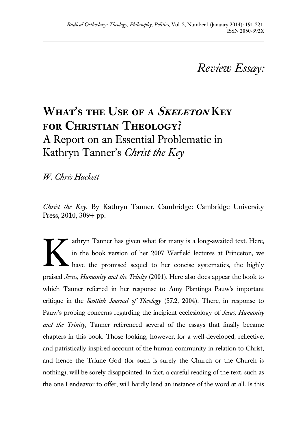# *Review Essay:*

# **What's the Use of a Skeleton Key for Christian Theology?** A Report on an Essential Problematic in Kathryn Tanner's *Christ the Key*

*W. Chris Hackett*

*Christ the Key*. By Kathryn Tanner. Cambridge: Cambridge University Press, 2010, 309+ pp.

athryn Tanner has given what for many is a long-awaited text. Here, in the book version of her 2007 Warfield lectures at Princeton, we have the promised sequel to her concise systematics, the highly praised *Jesus, Humanity and the Trinity* (2001). Here also does appear the book to which Tanner referred in her response to Amy Plantinga Pauw's important critique in the *Scottish Journal of Theology* (57.2, 2004). There, in response to Pauw's probing concerns regarding the incipient ecclesiology of *Jesus, Humanity and the Trinity*, Tanner referenced several of the essays that finally became chapters in this book. Those looking, however, for a well-developed, reflective, and patristically-inspired account of the human community in relation to Christ, and hence the Triune God (for such is surely the Church or the Church is nothing), will be sorely disappointed. In fact, a careful reading of the text, such as the one I endeavor to offer, will hardly lend an instance of the word at all. Is this K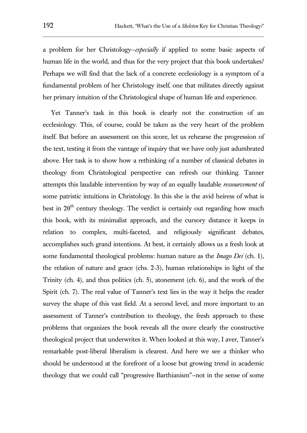a problem for her Christology—*especially* if applied to some basic aspects of human life in the world, and thus for the very project that this book undertakes? Perhaps we will find that the lack of a concrete ecclesiology is a symptom of a fundamental problem of her Christology itself, one that militates directly against her primary intuition of the Christological shape of human life and experience.

Yet Tanner's task in this book is clearly not the construction of an ecclesiology. This, of course, could be taken as the very heart of the problem itself. But before an assessment on this score, let us rehearse the progression of the text, testing it from the vantage of inquiry that we have only just adumbrated above. Her task is to show how a rethinking of a number of classical debates in theology from Christological perspective can refresh our thinking. Tanner attempts this laudable intervention by way of an equally laudable *ressourcement* of some patristic intuitions in Christology. In this she is the avid heiress of what is best in  $20<sup>th</sup>$  century theology. The verdict is certainly out regarding how much this book, with its minimalist approach, and the cursory distance it keeps in relation to complex, multi-faceted, and religiously significant debates, accomplishes such grand intentions. At best, it certainly allows us a fresh look at some fundamental theological problems: human nature as the *Imago Dei* (ch. 1), the relation of nature and grace (chs. 2-3), human relationships in light of the Trinity (ch. 4), and thus politics (ch. 5), atonement (ch. 6), and the work of the Spirit (ch. 7). The real value of Tanner's text lies in the way it helps the reader survey the shape of this vast field. At a second level, and more important to an assessment of Tanner's contribution to theology, the fresh approach to these problems that organizes the book reveals all the more clearly the constructive theological project that underwrites it. When looked at this way, I aver, Tanner's remarkable post-liberal liberalism is clearest. And here we see a thinker who should be understood at the forefront of a loose but growing trend in academic theology that we could call "progressive Barthianism"—not in the sense of some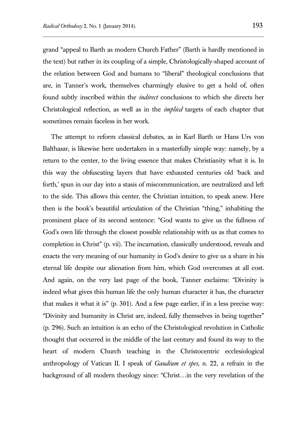grand "appeal to Barth as modern Church Father" (Barth is hardly mentioned in the text) but rather in its coupling of a simple, Christologically-shaped account of the relation between God and humans to "liberal" theological conclusions that are, in Tanner's work, themselves charmingly elusive to get a hold of, often found subtly inscribed within the *indirect* conclusions to which she directs her Christological reflection, as well as in the *implied* targets of each chapter that sometimes remain faceless in her work.

The attempt to reform classical debates, as in Karl Barth or Hans Urs von Balthasar, is likewise here undertaken in a masterfully simple way: namely, by a return to the center, to the living essence that makes Christianity what it is. In this way the obfuscating layers that have exhausted centuries old 'back and forth,' spun in our day into a stasis of miscommunication, are neutralized and left to the side. This allows this center, the Christian intuition, to speak anew. Here then is the book's beautiful articulation of the Christian "thing," inhabiting the prominent place of its second sentence: "God wants to give us the fullness of God's own life through the closest possible relationship with us as that comes to completion in Christ" (p. vii). The incarnation, classically understood, reveals and enacts the very meaning of our humanity in God's desire to give us a share in his eternal life despite our alienation from him, which God overcomes at all cost. And again, on the very last page of the book, Tanner exclaims: "Divinity is indeed what gives this human life the only human character it has, the character that makes it what it is" (p. 301). And a few page earlier, if in a less precise way: "Divinity and humanity in Christ are, indeed, fully themselves in being together" (p. 296). Such an intuition is an echo of the Christological revolution in Catholic thought that occurred in the middle of the last century and found its way to the heart of modern Church teaching in the Christocentric ecclesiological anthropology of Vatican II. I speak of *Gaudium et spes*, n. 22, a refrain in the background of all modern theology since: "Christ…in the very revelation of the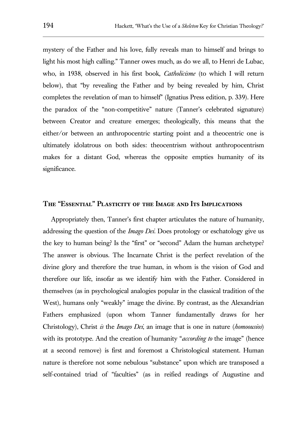mystery of the Father and his love, fully reveals man to himself and brings to light his most high calling." Tanner owes much, as do we all, to Henri de Lubac, who, in 1938, observed in his first book, *Catholicisme* (to which I will return below), that "by revealing the Father and by being revealed by him, Christ completes the revelation of man to himself" (Ignatius Press edition, p. 339). Here the paradox of the "non-competitive" nature (Tanner's celebrated signature) between Creator and creature emerges; theologically, this means that the either/or between an anthropocentric starting point and a theocentric one is ultimately idolatrous on both sides: theocentrism without anthropocentrism makes for a distant God, whereas the opposite empties humanity of its significance.

#### **The "Essential" Plasticity of the Image and Its Implications**

Appropriately then, Tanner's first chapter articulates the nature of humanity, addressing the question of the *Imago Dei*. Does protology or eschatology give us the key to human being? Is the "first" or "second" Adam the human archetype? The answer is obvious. The Incarnate Christ is the perfect revelation of the divine glory and therefore the true human, in whom is the vision of God and therefore our life, insofar as we identify him with the Father. Considered in themselves (as in psychological analogies popular in the classical tradition of the West), humans only "weakly" image the divine. By contrast, as the Alexandrian Fathers emphasized (upon whom Tanner fundamentally draws for her Christology), Christ *is* the *Imago Dei*, an image that is one in nature (*homoousios*) with its prototype. And the creation of humanity "*according to* the image" (hence at a second remove) is first and foremost a Christological statement. Human nature is therefore not some nebulous "substance" upon which are transposed a self-contained triad of "faculties" (as in reified readings of Augustine and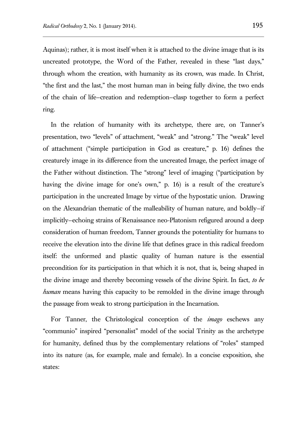Aquinas); rather, it is most itself when it is attached to the divine image that is its uncreated prototype, the Word of the Father, revealed in these "last days," through whom the creation, with humanity as its crown, was made. In Christ, "the first and the last," the most human man in being fully divine, the two ends of the chain of life—creation and redemption—clasp together to form a perfect ring.

In the relation of humanity with its archetype, there are, on Tanner's presentation, two "levels" of attachment, "weak" and "strong." The "weak" level of attachment ("simple participation in God as creature," p. 16) defines the creaturely image in its difference from the uncreated Image, the perfect image of the Father without distinction. The "strong" level of imaging ("participation by having the divine image for one's own," p. 16) is a result of the creature's participation in the uncreated Image by virtue of the hypostatic union. Drawing on the Alexandrian thematic of the malleability of human nature, and boldly—if implicitly—echoing strains of Renaissance neo-Platonism refigured around a deep consideration of human freedom, Tanner grounds the potentiality for humans to receive the elevation into the divine life that defines grace in this radical freedom itself: the unformed and plastic quality of human nature is the essential precondition for its participation in that which it is not, that is, being shaped in the divine image and thereby becoming vessels of the divine Spirit. In fact, *to be human* means having this capacity to be remolded in the divine image through the passage from weak to strong participation in the Incarnation.

For Tanner, the Christological conception of the *imago* eschews any "communio" inspired "personalist" model of the social Trinity as the archetype for humanity, defined thus by the complementary relations of "roles" stamped into its nature (as, for example, male and female). In a concise exposition, she states: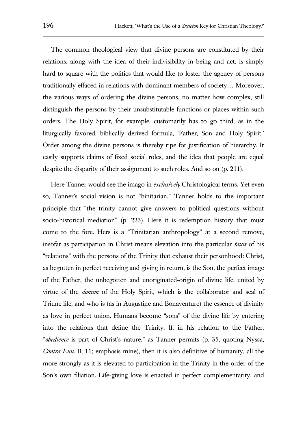The common theological view that divine persons are constituted by their relations, along with the idea of their indivisibility in being and act, is simply hard to square with the politics that would like to foster the agency of persons traditionally effaced in relations with dominant members of society… Moreover, the various ways of ordering the divine persons, no matter how complex, still distinguish the persons by their unsubstitutable functions or places within such orders. The Holy Spirit, for example, customarily has to go third, as in the liturgically favored, biblically derived formula, 'Father, Son and Holy Spirit.' Order among the divine persons is thereby ripe for justification of hierarchy. It easily supports claims of fixed social roles, and the idea that people are equal despite the disparity of their assignment to such roles. And so on (p. 211).

Here Tanner would see the imago in *exclusively* Christological terms. Yet even so, Tanner's social vision is not "binitarian." Tanner holds to the important principle that "the trinity cannot give answers to political questions without socio-historical mediation" (p. 223). Here it is redemption history that must come to the fore. Hers is a "Trinitarian anthropology" at a second remove, insofar as participation in Christ means elevation into the particular *taxis* of his "relations" with the persons of the Trinity that exhaust their personhood: Christ, as begotten in perfect receiving and giving in return, is the Son, the perfect image of the Father, the unbegotten and unoriginated-origin of divine life, united by virtue of the *donum* of the Holy Spirit, which is the collaborator and seal of Triune life, and who is (as in Augustine and Bonaventure) the essence of divinity as love in perfect union. Humans become "sons" of the divine life by entering into the relations that define the Trinity. If, in his relation to the Father, "*obedience* is part of Christ's nature," as Tanner permits (p. 35, quoting Nyssa, *Contra Eun*. II, 11; emphasis mine), then it is also definitive of humanity, all the more strongly as it is elevated to participation in the Trinity in the order of the Son's own filiation. Life-giving love is enacted in perfect complementarity, and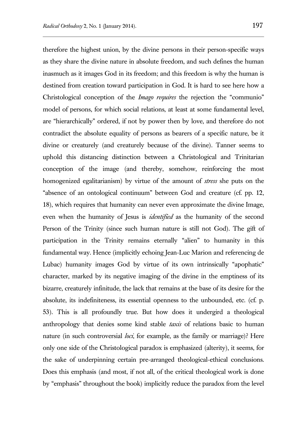therefore the highest union, by the divine persons in their person-specific ways as they share the divine nature in absolute freedom, and such defines the human inasmuch as it images God in its freedom; and this freedom is why the human is destined from creation toward participation in God. It is hard to see here how a Christological conception of the *Imago requires* the rejection the "communio" model of persons, for which social relations, at least at some fundamental level, are "hierarchically" ordered, if not by power then by love, and therefore do not contradict the absolute equality of persons as bearers of a specific nature, be it divine or creaturely (and creaturely because of the divine). Tanner seems to uphold this distancing distinction between a Christological and Trinitarian conception of the image (and thereby, somehow, reinforcing the most homogenized egalitarianism) by virtue of the amount of *stress* she puts on the "absence of an ontological continuum" between God and creature (cf. pp. 12, 18), which requires that humanity can never even approximate the divine Image, even when the humanity of Jesus is *identified* as the humanity of the second Person of the Trinity (since such human nature is still not God). The gift of participation in the Trinity remains eternally "alien" to humanity in this fundamental way. Hence (implicitly echoing Jean-Luc Marion and referencing de Lubac) humanity images God by virtue of its own intrinsically "apophatic" character, marked by its negative imaging of the divine in the emptiness of its bizarre, creaturely infinitude, the lack that remains at the base of its desire for the absolute, its indefiniteness, its essential openness to the unbounded, etc. (cf. p. 53). This is all profoundly true. But how does it undergird a theological anthropology that denies some kind stable *taxis* of relations basic to human nature (in such controversial *loci*, for example, as the family or marriage)? Here only one side of the Christological paradox is emphasized (alterity), it seems, for the sake of underpinning certain pre-arranged theological-ethical conclusions. Does this emphasis (and most, if not all, of the critical theological work is done by "emphasis" throughout the book) implicitly reduce the paradox from the level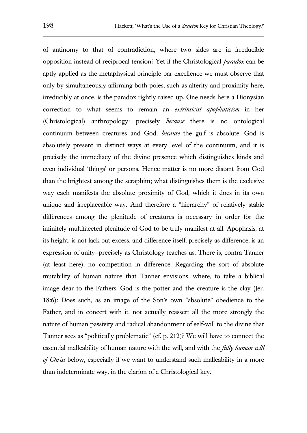of antinomy to that of contradiction, where two sides are in irreducible opposition instead of reciprocal tension? Yet if the Christological *paradox* can be aptly applied as the metaphysical principle par excellence we must observe that only by simultaneously affirming both poles, such as alterity and proximity here, irreducibly at once, is the paradox rightly raised up. One needs here a Dionysian correction to what seems to remain an *extrinsicist apophaticism* in her (Christological) anthropology: precisely *because* there is no ontological continuum between creatures and God, *because* the gulf is absolute, God is absolutely present in distinct ways at every level of the continuum, and it is precisely the immediacy of the divine presence which distinguishes kinds and even individual 'things' or persons. Hence matter is no more distant from God than the brightest among the seraphim; what distinguishes them is the exclusive way each manifests the absolute proximity of God, which it does in its own unique and irreplaceable way. And therefore a "hierarchy" of relatively stable differences among the plenitude of creatures is necessary in order for the infinitely multifaceted plenitude of God to be truly manifest at all. Apophasis, at its height, is not lack but excess, and difference itself, precisely as difference, is an expression of unity—precisely as Christology teaches us. There is, contra Tanner (at least here), no competition in difference. Regarding the sort of absolute mutability of human nature that Tanner envisions, where, to take a biblical image dear to the Fathers, God is the potter and the creature is the clay (Jer. 18:6): Does such, as an image of the Son's own "absolute" obedience to the Father, and in concert with it, not actually reassert all the more strongly the nature of human passivity and radical abandonment of self-will to the divine that Tanner sees as "politically problematic" (cf. p. 212)? We will have to connect the essential malleability of human nature with the will, and with the *fully human will of Christ* below, especially if we want to understand such malleability in a more than indeterminate way, in the clarion of a Christological key.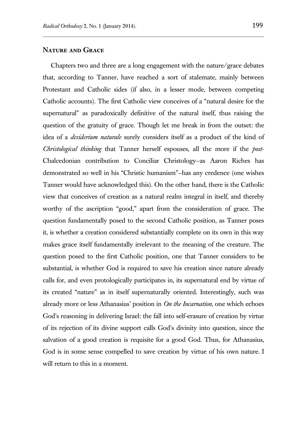### **Nature and Grace**

Chapters two and three are a long engagement with the nature/grace debates that, according to Tanner, have reached a sort of stalemate, mainly between Protestant and Catholic sides (if also, in a lesser mode, between competing Catholic accounts). The first Catholic view conceives of a "natural desire for the supernatural" as paradoxically definitive of the natural itself, thus raising the question of the gratuity of grace. Though let me break in from the outset: the idea of a *desiderium naturale* surely considers itself as a product of the kind of *Christological thinking* that Tanner herself espouses, all the more if the *post*-Chalcedonian contribution to Conciliar Christology—as Aaron Riches has demonstrated so well in his "Christic humanism"—has any credence (one wishes Tanner would have acknowledged this). On the other hand, there is the Catholic view that conceives of creation as a natural realm integral in itself, and thereby worthy of the ascription "good," apart from the consideration of grace. The question fundamentally posed to the second Catholic position, as Tanner poses it, is whether a creation considered substantially complete on its own in this way makes grace itself fundamentally irrelevant to the meaning of the creature. The question posed to the first Catholic position, one that Tanner considers to be substantial, is whether God is required to save his creation since nature already calls for, and even protologically participates in, its supernatural end by virtue of its created "nature" as in itself supernaturally oriented. Interestingly, such was already more or less Athanasius' position in *On the Incarnation*, one which echoes God's reasoning in delivering Israel: the fall into self-erasure of creation by virtue of its rejection of its divine support calls God's divinity into question, since the salvation of a good creation is requisite for a good God. Thus, for Athanasius, God is in some sense compelled to save creation by virtue of his own nature. I will return to this in a moment.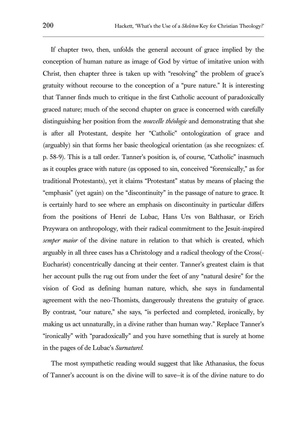If chapter two, then, unfolds the general account of grace implied by the conception of human nature as image of God by virtue of imitative union with Christ, then chapter three is taken up with "resolving" the problem of grace's gratuity without recourse to the conception of a "pure nature." It is interesting that Tanner finds much to critique in the first Catholic account of paradoxically graced nature; much of the second chapter on grace is concerned with carefully distinguishing her position from the *nouvelle théologie* and demonstrating that she is after all Protestant, despite her "Catholic" ontologization of grace and (arguably) sin that forms her basic theological orientation (as she recognizes: cf. p. 58-9). This is a tall order. Tanner's position is, of course, "Catholic" inasmuch as it couples grace with nature (as opposed to sin, conceived "forensically," as for traditional Protestants), yet it claims "Protestant" status by means of placing the "emphasis" (yet again) on the "discontinuity" in the passage of nature to grace. It is certainly hard to see where an emphasis on discontinuity in particular differs from the positions of Henri de Lubac, Hans Urs von Balthasar, or Erich Przywara on anthropology, with their radical commitment to the Jesuit-inspired *semper maior* of the divine nature in relation to that which is created, which arguably in all three cases has a Christology and a radical theology of the Cross(- Eucharist) concentrically dancing at their center. Tanner's greatest claim is that her account pulls the rug out from under the feet of any "natural desire" for the vision of God as defining human nature, which, she says in fundamental agreement with the neo-Thomists, dangerously threatens the gratuity of grace. By contrast, "our nature," she says, "is perfected and completed, ironically, by making us act unnaturally, in a divine rather than human way." Replace Tanner's "ironically" with "paradoxically" and you have something that is surely at home in the pages of de Lubac's *Surnaturel*.

The most sympathetic reading would suggest that like Athanasius, the focus of Tanner's account is on the divine will to save—it is of the divine nature to do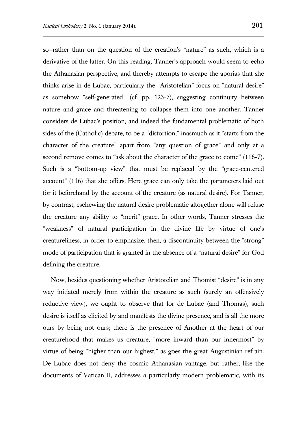so—rather than on the question of the creation's "nature" as such, which is a derivative of the latter. On this reading, Tanner's approach would seem to echo the Athanasian perspective, and thereby attempts to escape the aporias that she thinks arise in de Lubac, particularly the "Aristotelian" focus on "natural desire" as somehow "self-generated" (cf. pp. 123-7), suggesting continuity between nature and grace and threatening to collapse them into one another. Tanner considers de Lubac's position, and indeed the fundamental problematic of both sides of the (Catholic) debate, to be a "distortion," inasmuch as it "starts from the character of the creature" apart from "any question of grace" and only at a second remove comes to "ask about the character of the grace to come" (116-7). Such is a "bottom-up view" that must be replaced by the "grace-centered account" (116) that she offers. Here grace can only take the parameters laid out for it beforehand by the account of the creature (as natural desire). For Tanner, by contrast, eschewing the natural desire problematic altogether alone will refuse the creature any ability to "merit" grace. In other words, Tanner stresses the "weakness" of natural participation in the divine life by virtue of one's creatureliness, in order to emphasize, then, a discontinuity between the "strong" mode of participation that is granted in the absence of a "natural desire" for God defining the creature.

Now, besides questioning whether Aristotelian and Thomist "desire" is in any way initiated merely from within the creature as such (surely an offensively reductive view), we ought to observe that for de Lubac (and Thomas), such desire is itself as elicited by and manifests the divine presence, and is all the more ours by being not ours; there is the presence of Another at the heart of our creaturehood that makes us creature, "more inward than our innermost" by virtue of being "higher than our highest," as goes the great Augustinian refrain. De Lubac does not deny the cosmic Athanasian vantage, but rather, like the documents of Vatican II, addresses a particularly modern problematic, with its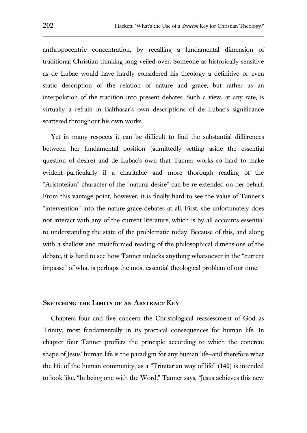anthropocentric concentration, by recalling a fundamental dimension of traditional Christian thinking long veiled over. Someone as historically sensitive as de Lubac would have hardly considered his theology a definitive or even static description of the relation of nature and grace, but rather as an interpolation of the tradition into present debates. Such a view, at any rate, is virtually a refrain in Balthasar's own descriptions of de Lubac's significance scattered throughout his own works.

Yet in many respects it can be difficult to find the substantial differences between her fundamental position (admittedly setting aside the essential question of desire) and de Lubac's own that Tanner works so hard to make evident—particularly if a charitable and more thorough reading of the "Aristotelian" character of the "natural desire" can be re-extended on her behalf. From this vantage point, however, it is finally hard to see the value of Tanner's "intervention" into the nature-grace debates at all. First, she unfortunately does not interact with any of the current literature, which is by all accounts essential to understanding the state of the problematic today. Because of this, and along with a shallow and misinformed reading of the philosophical dimensions of the debate, it is hard to see how Tanner unlocks anything whatsoever in the "current impasse" of what is perhaps the most essential theological problem of our time.

### **Sketching the Limits of an Abstract Key**

Chapters four and five concern the Christological reassessment of God as Trinity, most fundamentally in its practical consequences for human life. In chapter four Tanner proffers the principle according to which the concrete shape of Jesus' human life is the paradigm for any human life—and therefore what the life of the human community, as a "Trinitarian way of life" (140) is intended to look like. "In being one with the Word," Tanner says, "Jesus achieves this new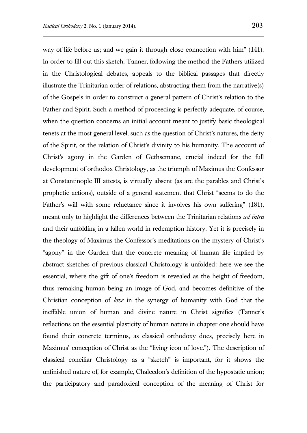way of life before us; and we gain it through close connection with him" (141). In order to fill out this sketch, Tanner, following the method the Fathers utilized in the Christological debates, appeals to the biblical passages that directly illustrate the Trinitarian order of relations, abstracting them from the narrative(s) of the Gospels in order to construct a general pattern of Christ's relation to the Father and Spirit. Such a method of proceeding is perfectly adequate, of course, when the question concerns an initial account meant to justify basic theological tenets at the most general level, such as the question of Christ's natures, the deity of the Spirit, or the relation of Christ's divinity to his humanity. The account of Christ's agony in the Garden of Gethsemane, crucial indeed for the full development of orthodox Christology, as the triumph of Maximus the Confessor at Constantinople III attests, is virtually absent (as are the parables and Christ's prophetic actions), outside of a general statement that Christ "seems to do the Father's will with some reluctance since it involves his own suffering" (181), meant only to highlight the differences between the Trinitarian relations *ad intra* and their unfolding in a fallen world in redemption history. Yet it is precisely in the theology of Maximus the Confessor's meditations on the mystery of Christ's "agony" in the Garden that the concrete meaning of human life implied by abstract sketches of previous classical Christology is unfolded: here we see the essential, where the gift of one's freedom is revealed as the height of freedom, thus remaking human being an image of God, and becomes definitive of the Christian conception of *love* in the synergy of humanity with God that the ineffable union of human and divine nature in Christ signifies (Tanner's reflections on the essential plasticity of human nature in chapter one should have found their concrete terminus, as classical orthodoxy does, precisely here in Maximus' conception of Christ as the "living icon of love."). The description of classical conciliar Christology as a "sketch" is important, for it shows the unfinished nature of, for example, Chalcedon's definition of the hypostatic union; the participatory and paradoxical conception of the meaning of Christ for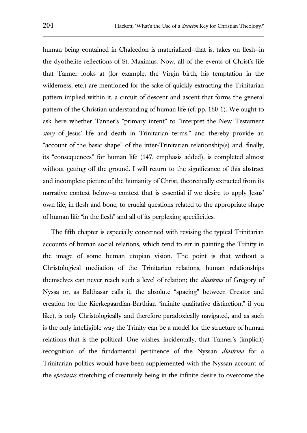human being contained in Chalcedon is materialized—that is, takes on flesh—in the dyothelite reflections of St. Maximus. Now, all of the events of Christ's life that Tanner looks at (for example, the Virgin birth, his temptation in the wilderness, etc.) are mentioned for the sake of quickly extracting the Trinitarian pattern implied within it, a circuit of descent and ascent that forms the general pattern of the Christian understanding of human life (cf. pp. 160-1). We ought to ask here whether Tanner's "primary intent" to "interpret the New Testament *story* of Jesus' life and death in Trinitarian terms," and thereby provide an "account of the basic shape" of the inter-Trinitarian relationship(s) and, finally, its "consequences" for human life (147, emphasis added), is completed almost without getting off the ground. I will return to the significance of this abstract and incomplete picture of the humanity of Christ, theoretically extracted from its narrative context below—a context that is essential if we desire to apply Jesus' own life, in flesh and bone, to crucial questions related to the appropriate shape of human life "in the flesh" and all of its perplexing specificities.

The fifth chapter is especially concerned with revising the typical Trinitarian accounts of human social relations, which tend to err in painting the Trinity in the image of some human utopian vision. The point is that without a Christological mediation of the Trinitarian relations, human relationships themselves can never reach such a level of relation; the *diastema* of Gregory of Nyssa or, as Balthasar calls it, the absolute "spacing" between Creator and creation (or the Kierkegaardian-Barthian "infinite qualitative distinction," if you like), is only Christologically and therefore paradoxically navigated, and as such is the only intelligible way the Trinity can be a model for the structure of human relations that is the political. One wishes, incidentally, that Tanner's (implicit) recognition of the fundamental pertinence of the Nyssan *diastema* for a Trinitarian politics would have been supplemented with the Nyssan account of the *epectastic* stretching of creaturely being in the infinite desire to overcome the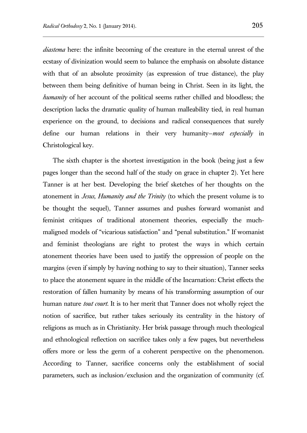*diastema* here: the infinite becoming of the creature in the eternal unrest of the ecstasy of divinization would seem to balance the emphasis on absolute distance with that of an absolute proximity (as expression of true distance), the play between them being definitive of human being in Christ. Seen in its light, the *humanity* of her account of the political seems rather chilled and bloodless; the description lacks the dramatic quality of human malleability tied, in real human experience on the ground, to decisions and radical consequences that surely define our human relations in their very humanity—*most especially* in Christological key.

The sixth chapter is the shortest investigation in the book (being just a few pages longer than the second half of the study on grace in chapter 2). Yet here Tanner is at her best. Developing the brief sketches of her thoughts on the atonement in *Jesus, Humanity and the Trinity* (to which the present volume is to be thought the sequel), Tanner assumes and pushes forward womanist and feminist critiques of traditional atonement theories, especially the muchmaligned models of "vicarious satisfaction" and "penal substitution." If womanist and feminist theologians are right to protest the ways in which certain atonement theories have been used to justify the oppression of people on the margins (even if simply by having nothing to say to their situation), Tanner seeks to place the atonement square in the middle of the Incarnation: Christ effects the restoration of fallen humanity by means of his transforming assumption of our human nature *tout court*. It is to her merit that Tanner does not wholly reject the notion of sacrifice, but rather takes seriously its centrality in the history of religions as much as in Christianity. Her brisk passage through much theological and ethnological reflection on sacrifice takes only a few pages, but nevertheless offers more or less the germ of a coherent perspective on the phenomenon. According to Tanner, sacrifice concerns only the establishment of social parameters, such as inclusion/exclusion and the organization of community (cf.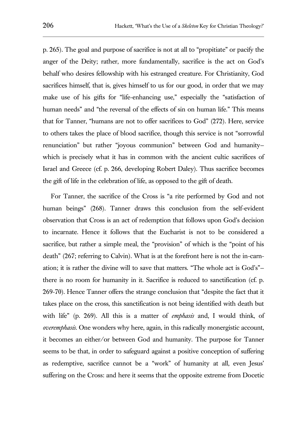p. 265). The goal and purpose of sacrifice is not at all to "propitiate" or pacify the anger of the Deity; rather, more fundamentally, sacrifice is the act on God's behalf who desires fellowship with his estranged creature. For Christianity, God sacrifices himself, that is, gives himself to us for our good, in order that we may make use of his gifts for "life-enhancing use," especially the "satisfaction of human needs" and "the reversal of the effects of sin on human life." This means that for Tanner, "humans are not to offer sacrifices to God" (272). Here, service to others takes the place of blood sacrifice, though this service is not "sorrowful renunciation" but rather "joyous communion" between God and humanity which is precisely what it has in common with the ancient cultic sacrifices of Israel and Greece (cf. p. 266, developing Robert Daley). Thus sacrifice becomes the gift of life in the celebration of life, as opposed to the gift of death.

For Tanner, the sacrifice of the Cross is "a rite performed by God and not human beings" (268). Tanner draws this conclusion from the self-evident observation that Cross is an act of redemption that follows upon God's decision to incarnate. Hence it follows that the Eucharist is not to be considered a sacrifice, but rather a simple meal, the "provision" of which is the "point of his death" (267; referring to Calvin). What is at the forefront here is not the in-carnation; it is rather the divine will to save that matters. "The whole act is God's" there is no room for humanity in it. Sacrifice is reduced to sanctification (cf. p. 269-70). Hence Tanner offers the strange conclusion that "despite the fact that it takes place on the cross, this sanctification is not being identified with death but with life" (p. 269). All this is a matter of *emphasis* and, I would think, of *overemphasis*. One wonders why here, again, in this radically monergistic account, it becomes an either/or between God and humanity. The purpose for Tanner seems to be that, in order to safeguard against a positive conception of suffering as redemptive, sacrifice cannot be a "work" of humanity at all, even Jesus' suffering on the Cross: and here it seems that the opposite extreme from Docetic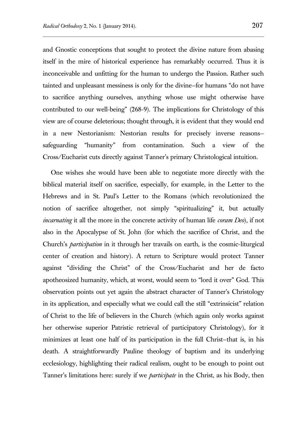and Gnostic conceptions that sought to protect the divine nature from abasing itself in the mire of historical experience has remarkably occurred. Thus it is inconceivable and unfitting for the human to undergo the Passion. Rather such tainted and unpleasant messiness is only for the divine—for humans "do not have to sacrifice anything ourselves, anything whose use might otherwise have contributed to our well-being" (268-9). The implications for Christology of this view are of course deleterious; thought through, it is evident that they would end in a new Nestorianism: Nestorian results for precisely inverse reasons safeguarding "humanity" from contamination. Such a view of the Cross/Eucharist cuts directly against Tanner's primary Christological intuition.

One wishes she would have been able to negotiate more directly with the biblical material itself on sacrifice, especially, for example, in the Letter to the Hebrews and in St. Paul's Letter to the Romans (which revolutionized the notion of sacrifice altogether, not simply "spiritualizing" it, but actually *incarnating* it all the more in the concrete activity of human life *coram Deo*), if not also in the Apocalypse of St. John (for which the sacrifice of Christ, and the Church's *participation* in it through her travails on earth, is the cosmic-liturgical center of creation and history). A return to Scripture would protect Tanner against "dividing the Christ" of the Cross/Eucharist and her de facto apotheosized humanity, which, at worst, would seem to "lord it over" God. This observation points out yet again the abstract character of Tanner's Christology in its application, and especially what we could call the still "extrinsicist" relation of Christ to the life of believers in the Church (which again only works against her otherwise superior Patristic retrieval of participatory Christology), for it minimizes at least one half of its participation in the full Christ—that is, in his death. A straightforwardly Pauline theology of baptism and its underlying ecclesiology, highlighting their radical realism, ought to be enough to point out Tanner's limitations here: surely if we *participate* in the Christ, as his Body, then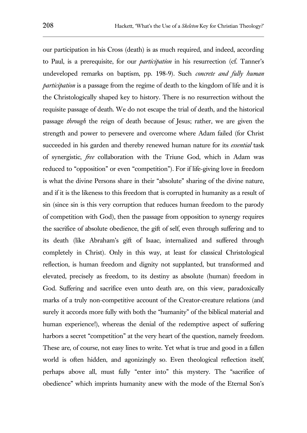our participation in his Cross (death) is as much required, and indeed, according to Paul, is a prerequisite, for our *participation* in his resurrection (cf. Tanner's undeveloped remarks on baptism, pp. 198-9). Such *concrete and fully human participation* is a passage from the regime of death to the kingdom of life and it is the Christologically shaped key to history. There is no resurrection without the requisite passage of death. We do not escape the trial of death, and the historical passage *through* the reign of death because of Jesus; rather, we are given the strength and power to persevere and overcome where Adam failed (for Christ succeeded in his garden and thereby renewed human nature for its *essential* task of synergistic, *free* collaboration with the Triune God, which in Adam was reduced to "opposition" or even "competition"). For if life-giving love in freedom is what the divine Persons share in their "absolute" sharing of the divine nature, and if it is the likeness to this freedom that is corrupted in humanity as a result of sin (since sin is this very corruption that reduces human freedom to the parody of competition with God), then the passage from opposition to synergy requires the sacrifice of absolute obedience, the gift of self, even through suffering and to its death (like Abraham's gift of Isaac, internalized and suffered through completely in Christ). Only in this way, at least for classical Christological reflection, is human freedom and dignity not supplanted, but transformed and elevated, precisely as freedom, to its destiny as absolute (human) freedom in God. Suffering and sacrifice even unto death are, on this view, paradoxically marks of a truly non-competitive account of the Creator-creature relations (and surely it accords more fully with both the "humanity" of the biblical material and human experience!), whereas the denial of the redemptive aspect of suffering harbors a secret "competition" at the very heart of the question, namely freedom. These are, of course, not easy lines to write. Yet what is true and good in a fallen world is often hidden, and agonizingly so. Even theological reflection itself, perhaps above all, must fully "enter into" this mystery. The "sacrifice of obedience" which imprints humanity anew with the mode of the Eternal Son's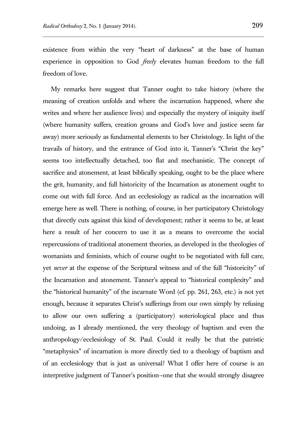existence from within the very "heart of darkness" at the base of human experience in opposition to God *freely* elevates human freedom to the full freedom of love.

My remarks here suggest that Tanner ought to take history (where the meaning of creation unfolds and where the incarnation happened, where she writes and where her audience lives) and especially the mystery of iniquity itself (where humanity suffers, creation groans and God's love and justice seem far away) more seriously as fundamental elements to her Christology. In light of the travails of history, and the entrance of God into it, Tanner's "Christ the key" seems too intellectually detached, too flat and mechanistic. The concept of sacrifice and atonement, at least biblically speaking, ought to be the place where the grit, humanity, and full historicity of the Incarnation as atonement ought to come out with full force. And an ecclesiology as radical as the incarnation will emerge here as well. There is nothing, of course, in her participatory Christology that directly cuts against this kind of development; rather it seems to be, at least here a result of her concern to use it as a means to overcome the social repercussions of traditional atonement theories, as developed in the theologies of womanists and feminists, which of course ought to be negotiated with full care, yet *never* at the expense of the Scriptural witness and of the full "historicity" of the Incarnation and atonement. Tanner's appeal to "historical complexity" and the "historical humanity" of the incarnate Word (cf. pp. 261, 263, etc.) is not yet enough, because it separates Christ's sufferings from our own simply by refusing to allow our own suffering a (participatory) soteriological place and thus undoing, as I already mentioned, the very theology of baptism and even the anthropology/ecclesiology of St. Paul. Could it really be that the patristic "metaphysics" of incarnation is more directly tied to a theology of baptism and of an ecclesiology that is just as universal? What I offer here of course is an interpretive judgment of Tanner's position—one that she would strongly disagree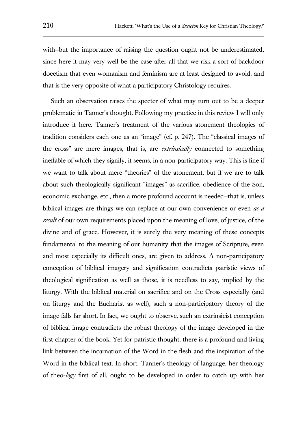with–but the importance of raising the question ought not be underestimated, since here it may very well be the case after all that we risk a sort of backdoor docetism that even womanism and feminism are at least designed to avoid, and that is the very opposite of what a participatory Christology requires.

Such an observation raises the specter of what may turn out to be a deeper problematic in Tanner's thought. Following my practice in this review I will only introduce it here. Tanner's treatment of the various atonement theologies of tradition considers each one as an "image" (cf. p. 247). The "classical images of the cross" are mere images, that is, are *extrinsically* connected to something ineffable of which they signify, it seems, in a non-participatory way. This is fine if we want to talk about mere "theories" of the atonement, but if we are to talk about such theologically significant "images" as sacrifice, obedience of the Son, economic exchange, etc., then a more profound account is needed—that is, unless biblical images are things we can replace at our own convenience or even *as a result* of our own requirements placed upon the meaning of love, of justice, of the divine and of grace. However, it is surely the very meaning of these concepts fundamental to the meaning of our humanity that the images of Scripture, even and most especially its difficult ones, are given to address. A non-participatory conception of biblical imagery and signification contradicts patristic views of theological signification as well as those, it is needless to say, implied by the liturgy. With the biblical material on sacrifice and on the Cross especially (and on liturgy and the Eucharist as well), such a non-participatory theory of the image falls far short. In fact, we ought to observe, such an extrinsicist conception of biblical image contradicts the robust theology of the image developed in the first chapter of the book. Yet for patristic thought, there is a profound and living link between the incarnation of the Word in the flesh and the inspiration of the Word in the biblical text. In short, Tanner's theology of language, her theology of theo-*logy* first of all, ought to be developed in order to catch up with her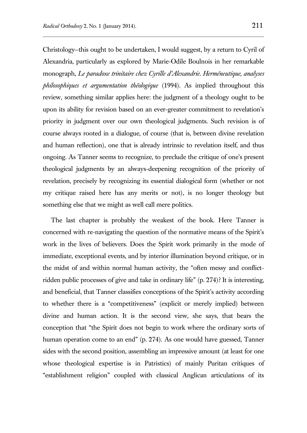Christology—this ought to be undertaken, I would suggest, by a return to Cyril of Alexandria, particularly as explored by Marie-Odile Boulnois in her remarkable monograph, *Le paradoxe trinitaire chez Cyrille d'Alexandrie. Herméneutique, analyses philosophiques et argumentation théologique* (1994). As implied throughout this review, something similar applies here: the judgment of a theology ought to be upon its ability for revision based on an ever-greater commitment to revelation's priority in judgment over our own theological judgments. Such revision is of course always rooted in a dialogue, of course (that is, between divine revelation and human reflection), one that is already intrinsic to revelation itself, and thus ongoing. As Tanner seems to recognize, to preclude the critique of one's present theological judgments by an always-deepening recognition of the priority of revelation, precisely by recognizing its essential dialogical form (whether or not my critique raised here has any merits or not), is no longer theology but something else that we might as well call mere politics.

The last chapter is probably the weakest of the book. Here Tanner is concerned with re-navigating the question of the normative means of the Spirit's work in the lives of believers. Does the Spirit work primarily in the mode of immediate, exceptional events, and by interior illumination beyond critique, or in the midst of and within normal human activity, the "often messy and conflictridden public processes of give and take in ordinary life" (p. 274)? It is interesting, and beneficial, that Tanner classifies conceptions of the Spirit's activity according to whether there is a "competitiveness" (explicit or merely implied) between divine and human action. It is the second view, she says, that bears the conception that "the Spirit does not begin to work where the ordinary sorts of human operation come to an end" (p. 274). As one would have guessed, Tanner sides with the second position, assembling an impressive amount (at least for one whose theological expertise is in Patristics) of mainly Puritan critiques of "establishment religion" coupled with classical Anglican articulations of its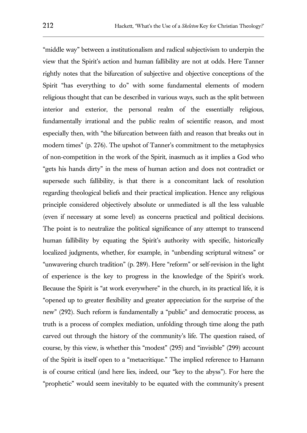"middle way" between a institutionalism and radical subjectivism to underpin the view that the Spirit's action and human fallibility are not at odds. Here Tanner rightly notes that the bifurcation of subjective and objective conceptions of the Spirit "has everything to do" with some fundamental elements of modern religious thought that can be described in various ways, such as the split between interior and exterior, the personal realm of the essentially religious, fundamentally irrational and the public realm of scientific reason, and most especially then, with "the bifurcation between faith and reason that breaks out in modern times" (p. 276). The upshot of Tanner's commitment to the metaphysics of non-competition in the work of the Spirit, inasmuch as it implies a God who "gets his hands dirty" in the mess of human action and does not contradict or supersede such fallibility, is that there is a concomitant lack of resolution regarding theological beliefs and their practical implication. Hence any religious principle considered objectively absolute or unmediated is all the less valuable (even if necessary at some level) as concerns practical and political decisions. The point is to neutralize the political significance of any attempt to transcend human fallibility by equating the Spirit's authority with specific, historically localized judgments, whether, for example, in "unbending scriptural witness" or "unwavering church tradition" (p. 289). Here "reform" or self-revision in the light of experience is the key to progress in the knowledge of the Spirit's work. Because the Spirit is "at work everywhere" in the church, in its practical life, it is "opened up to greater flexibility and greater appreciation for the surprise of the new" (292). Such reform is fundamentally a "public" and democratic process, as truth is a process of complex mediation, unfolding through time along the path carved out through the history of the community's life. The question raised, of course, by this view, is whether this "modest" (295) and "invisible" (299) account of the Spirit is itself open to a "metacritique." The implied reference to Hamann is of course critical (and here lies, indeed, our "key to the abyss"). For here the "prophetic" would seem inevitably to be equated with the community's present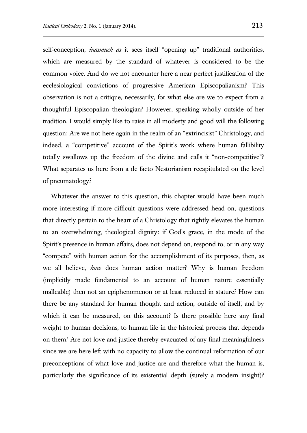self-conception, *inasmuch as* it sees itself "opening up" traditional authorities, which are measured by the standard of whatever is considered to be the common voice. And do we not encounter here a near perfect justification of the ecclesiological convictions of progressive American Episcopalianism? This observation is not a critique, necessarily, for what else are we to expect from a thoughtful Episcopalian theologian? However, speaking wholly outside of her tradition, I would simply like to raise in all modesty and good will the following question: Are we not here again in the realm of an "extrincisist" Christology, and indeed, a "competitive" account of the Spirit's work where human fallibility totally swallows up the freedom of the divine and calls it "non-competitive"? What separates us here from a de facto Nestorianism recapitulated on the level of pneumatology?

Whatever the answer to this question, this chapter would have been much more interesting if more difficult questions were addressed head on, questions that directly pertain to the heart of a Christology that rightly elevates the human to an overwhelming, theological dignity: if God's grace, in the mode of the Spirit's presence in human affairs, does not depend on, respond to, or in any way "compete" with human action for the accomplishment of its purposes, then, as we all believe, *how* does human action matter? Why is human freedom (implicitly made fundamental to an account of human nature essentially malleable) then not an epiphenomenon or at least reduced in stature? How can there be any standard for human thought and action, outside of itself, and by which it can be measured, on this account? Is there possible here any final weight to human decisions, to human life in the historical process that depends on them? Are not love and justice thereby evacuated of any final meaningfulness since we are here left with no capacity to allow the continual reformation of our preconceptions of what love and justice are and therefore what the human is, particularly the significance of its existential depth (surely a modern insight)?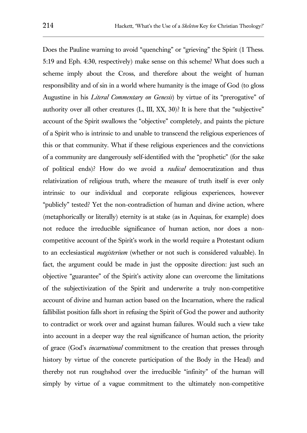Does the Pauline warning to avoid "quenching" or "grieving" the Spirit (1 Thess. 5:19 and Eph. 4:30, respectively) make sense on this scheme? What does such a scheme imply about the Cross, and therefore about the weight of human responsibility and of sin in a world where humanity is the image of God (to gloss Augustine in his *Literal Commentary on Genesis*) by virtue of its "prerogative" of authority over all other creatures (L, III, XX, 30)? It is here that the "subjective" account of the Spirit swallows the "objective" completely, and paints the picture of a Spirit who is intrinsic to and unable to transcend the religious experiences of this or that community. What if these religious experiences and the convictions of a community are dangerously self-identified with the "prophetic" (for the sake of political ends)? How do we avoid a *radical* democratization and thus relativization of religious truth, where the measure of truth itself is ever only intrinsic to our individual and corporate religious experiences, however "publicly" tested? Yet the non-contradiction of human and divine action, where (metaphorically or literally) eternity is at stake (as in Aquinas, for example) does not reduce the irreducible significance of human action, nor does a noncompetitive account of the Spirit's work in the world require a Protestant odium to an ecclesiastical *magisterium* (whether or not such is considered valuable). In fact, the argument could be made in just the opposite direction: just such an objective "guarantee" of the Spirit's activity alone can overcome the limitations of the subjectivization of the Spirit and underwrite a truly non-competitive account of divine and human action based on the Incarnation, where the radical fallibilist position falls short in refusing the Spirit of God the power and authority to contradict or work over and against human failures. Would such a view take into account in a deeper way the real significance of human action, the priority of grace (God's *incarnational* commitment to the creation that presses through history by virtue of the concrete participation of the Body in the Head) and thereby not run roughshod over the irreducible "infinity" of the human will simply by virtue of a vague commitment to the ultimately non-competitive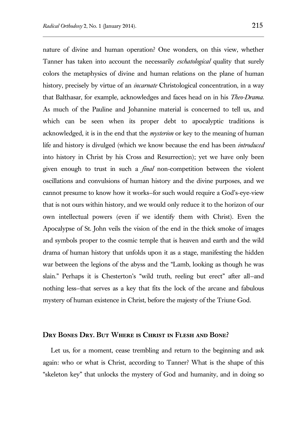nature of divine and human operation? One wonders, on this view, whether Tanner has taken into account the necessarily *eschatological* quality that surely colors the metaphysics of divine and human relations on the plane of human history, precisely by virtue of an *incarnate* Christological concentration, in a way that Balthasar, for example, acknowledges and faces head on in his *Theo-Drama*. As much of the Pauline and Johannine material is concerned to tell us, and which can be seen when its proper debt to apocalyptic traditions is acknowledged, it is in the end that the *mysterion* or key to the meaning of human life and history is divulged (which we know because the end has been *introduced* into history in Christ by his Cross and Resurrection); yet we have only been given enough to trust in such a *final* non-competition between the violent oscillations and convulsions of human history and the divine purposes, and we cannot presume to know how it works—for such would require a God's-eye-view that is not ours within history, and we would only reduce it to the horizon of our own intellectual powers (even if we identify them with Christ). Even the Apocalypse of St. John veils the vision of the end in the thick smoke of images and symbols proper to the cosmic temple that is heaven and earth and the wild drama of human history that unfolds upon it as a stage, manifesting the hidden war between the legions of the abyss and the "Lamb, looking as though he was slain." Perhaps it is Chesterton's "wild truth, reeling but erect" after all—and nothing less—that serves as a key that fits the lock of the arcane and fabulous mystery of human existence in Christ, before the majesty of the Triune God.

#### **Dry Bones Dry. But Where is Christ in Flesh and Bone?**

Let us, for a moment, cease trembling and return to the beginning and ask again: who or what is Christ, according to Tanner? What is the shape of this "skeleton key" that unlocks the mystery of God and humanity, and in doing so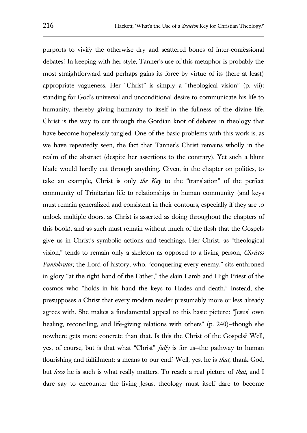purports to vivify the otherwise dry and scattered bones of inter-confessional debates? In keeping with her style, Tanner's use of this metaphor is probably the most straightforward and perhaps gains its force by virtue of its (here at least) appropriate vagueness. Her "Christ" is simply a "theological vision" (p. vii): standing for God's universal and unconditional desire to communicate his life to humanity, thereby giving humanity to itself in the fullness of the divine life. Christ is the way to cut through the Gordian knot of debates in theology that have become hopelessly tangled. One of the basic problems with this work is, as we have repeatedly seen, the fact that Tanner's Christ remains wholly in the realm of the abstract (despite her assertions to the contrary). Yet such a blunt blade would hardly cut through anything. Given, in the chapter on politics, to take an example, Christ is only *the Key* to the "translation" of the perfect community of Trinitarian life to relationships in human community (and keys must remain generalized and consistent in their contours, especially if they are to unlock multiple doors, as Christ is asserted as doing throughout the chapters of this book), and as such must remain without much of the flesh that the Gospels give us in Christ's symbolic actions and teachings. Her Christ, as "theological vision," tends to remain only a skeleton as opposed to a living person, *Christos Pantokrator*, the Lord of history, who, "conquering every enemy," sits enthroned in glory "at the right hand of the Father," the slain Lamb and High Priest of the cosmos who "holds in his hand the keys to Hades and death." Instead, she presupposes a Christ that every modern reader presumably more or less already agrees with. She makes a fundamental appeal to this basic picture: "Jesus' own healing, reconciling, and life-giving relations with others" (p. 240)—though she nowhere gets more concrete than that. Is this the Christ of the Gospels? Well, yes, of course, but is that what "Christ" *fully* is for us—the pathway to human flourishing and fulfillment: a means to our end? Well, yes, he is *that*, thank God, but *how* he is such is what really matters. To reach a real picture of *that*, and I dare say to encounter the living Jesus, theology must itself dare to become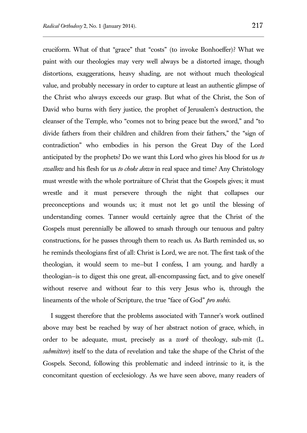cruciform. What of that "grace" that "costs" (to invoke Bonhoeffer)? What we paint with our theologies may very well always be a distorted image, though distortions, exaggerations, heavy shading, are not without much theological value, and probably necessary in order to capture at least an authentic glimpse of the Christ who always exceeds our grasp. But what of the Christ, the Son of David who burns with fiery justice, the prophet of Jerusalem's destruction, the cleanser of the Temple, who "comes not to bring peace but the sword," and "to divide fathers from their children and children from their fathers," the "sign of contradiction" who embodies in his person the Great Day of the Lord anticipated by the prophets? Do we want this Lord who gives his blood for us *to swallow* and his flesh for us *to choke down* in real space and time? Any Christology must wrestle with the whole portraiture of Christ that the Gospels gives; it must wrestle and it must persevere through the night that collapses our preconceptions and wounds us; it must not let go until the blessing of understanding comes. Tanner would certainly agree that the Christ of the Gospels must perennially be allowed to smash through our tenuous and paltry constructions, for he passes through them to reach us. As Barth reminded us, so he reminds theologians first of all: Christ is Lord, we are not. The first task of the theologian, it would seem to me—but I confess, I am young, and hardly a theologian—is to digest this one great, all-encompassing fact, and to give oneself without reserve and without fear to this very Jesus who is, through the lineaments of the whole of Scripture, the true "face of God" *pro nobis*.

I suggest therefore that the problems associated with Tanner's work outlined above may best be reached by way of her abstract notion of grace, which, in order to be adequate, must, precisely as a *work* of theology, sub-mit (L. *submittere*) itself to the data of revelation and take the shape of the Christ of the Gospels. Second, following this problematic and indeed intrinsic to it, is the concomitant question of ecclesiology. As we have seen above, many readers of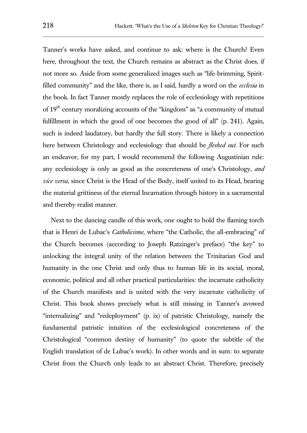Tanner's works have asked, and continue to ask: where is the Church? Even here, throughout the text, the Church remains as abstract as the Christ does, if not more so. Aside from some generalized images such as "life-brimming, Spiritfilled community" and the like, there is, as I said, hardly a word on the *ecclesia* in the book. In fact Tanner mostly replaces the role of ecclesiology with repetitions of 19<sup>th</sup> century moralizing accounts of the "kingdom" as "a community of mutual fulfillment in which the good of one becomes the good of all" (p. 241). Again, such is indeed laudatory, but hardly the full story. There is likely a connection here between Christology and ecclesiology that should be *fleshed out*. For such an endeavor, for my part, I would recommend the following Augustinian rule: any ecclesiology is only as good as the concreteness of one's Christology, *and vice versa*, since Christ is the Head of the Body, itself united to its Head, bearing the material grittiness of the eternal Incarnation through history in a sacramental and thereby realist manner.

Next to the dancing candle of this work, one ought to hold the flaming torch that is Henri de Lubac's *Catholicisme*, where "the Catholic, the all-embracing" of the Church becomes (according to Joseph Ratzinger's preface) "the key" to unlocking the integral unity of the relation between the Trinitarian God and humanity in the one Christ and only thus to human life in its social, moral, economic, political and all other practical particularities: the incarnate catholicity of the Church manifests and is united with the very incarnate catholicity of Christ. This book shows precisely what is still missing in Tanner's avowed "internalizing" and "redeployment" (p. ix) of patristic Christology, namely the fundamental patristic intuition of the ecclesiological concreteness of the Christological "common destiny of humanity" (to quote the subtitle of the English translation of de Lubac's work). In other words and in sum: to separate Christ from the Church only leads to an abstract Christ. Therefore, precisely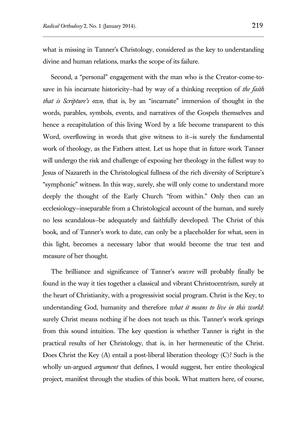what is missing in Tanner's Christology, considered as the key to understanding divine and human relations, marks the scope of its failure.

Second, a "personal" engagement with the man who is the Creator-come-tosave in his incarnate historicity—had by way of a thinking reception of *the faith that is Scripture's own*, that is, by an "incarnate" immersion of thought in the words, parables, symbols, events, and narratives of the Gospels themselves and hence a recapitulation of this living Word by a life become transparent to this Word, overflowing in words that give witness to it—is surely the fundamental work of theology, as the Fathers attest. Let us hope that in future work Tanner will undergo the risk and challenge of exposing her theology in the fullest way to Jesus of Nazareth in the Christological fullness of the rich diversity of Scripture's "symphonic" witness. In this way, surely, she will only come to understand more deeply the thought of the Early Church "from within." Only then can an ecclesiology—inseparable from a Christological account of the human, and surely no less scandalous—be adequately and faithfully developed. The Christ of this book, and of Tanner's work to date, can only be a placeholder for what, seen in this light, becomes a necessary labor that would become the true test and measure of her thought.

The brilliance and significance of Tanner's *oeuvre* will probably finally be found in the way it ties together a classical and vibrant Christocentrism, surely at the heart of Christianity, with a progressivist social program. Christ is the Key, to understanding God, humanity and therefore *what it means to live in this world*: surely Christ means nothing if he does not teach us this. Tanner's work springs from this sound intuition. The key question is whether Tanner is right in the practical results of her Christology, that is, in her hermeneutic of the Christ. Does Christ the Key (A) entail a post-liberal liberation theology (C)? Such is the wholly un-argued *argument* that defines, I would suggest, her entire theological project, manifest through the studies of this book. What matters here, of course,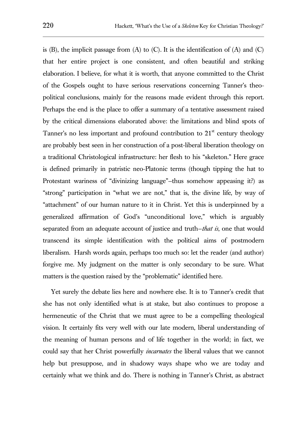is  $(B)$ , the implicit passage from  $(A)$  to  $(C)$ . It is the identification of  $(A)$  and  $(C)$ that her entire project is one consistent, and often beautiful and striking elaboration. I believe, for what it is worth, that anyone committed to the Christ of the Gospels ought to have serious reservations concerning Tanner's theopolitical conclusions, mainly for the reasons made evident through this report. Perhaps the end is the place to offer a summary of a tentative assessment raised by the critical dimensions elaborated above: the limitations and blind spots of Tanner's no less important and profound contribution to  $21<sup>st</sup>$  century theology are probably best seen in her construction of a post-liberal liberation theology on a traditional Christological infrastructure: her flesh to his "skeleton." Here grace is defined primarily in patristic neo-Platonic terms (though tipping the hat to Protestant wariness of "divinizing language"—thus somehow appeasing it?) as "strong" participation in "what we are not," that is, the divine life, by way of "attachment" of our human nature to it in Christ. Yet this is underpinned by a generalized affirmation of God's "unconditional love," which is arguably separated from an adequate account of justice and truth—*that is*, one that would transcend its simple identification with the political aims of postmodern liberalism. Harsh words again, perhaps too much so: let the reader (and author) forgive me. My judgment on the matter is only secondary to be sure. What matters is the question raised by the "problematic" identified here.

Yet surely the debate lies here and nowhere else. It is to Tanner's credit that she has not only identified what is at stake, but also continues to propose a hermeneutic of the Christ that we must agree to be a compelling theological vision. It certainly fits very well with our late modern, liberal understanding of the meaning of human persons and of life together in the world; in fact, we could say that her Christ powerfully *incarnates* the liberal values that we cannot help but presuppose, and in shadowy ways shape who we are today and certainly what we think and do. There is nothing in Tanner's Christ, as abstract